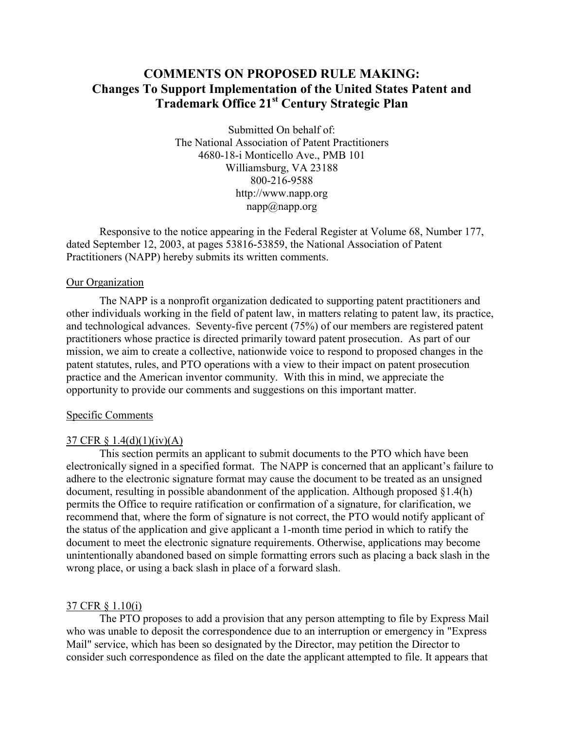# **COMMENTS ON PROPOSED RULE MAKING: Changes To Support Implementation of the United States Patent and Trademark Office 21st Century Strategic Plan**

Submitted On behalf of: The National Association of Patent Practitioners 4680-18-i Monticello Ave., PMB 101 Williamsburg, VA 23188 800-216-9588 http://www.napp.org  $napp@napp.org$ 

Responsive to the notice appearing in the Federal Register at Volume 68, Number 177, dated September 12, 2003, at pages 53816-53859, the National Association of Patent Practitioners (NAPP) hereby submits its written comments.

#### Our Organization

The NAPP is a nonprofit organization dedicated to supporting patent practitioners and other individuals working in the field of patent law, in matters relating to patent law, its practice, and technological advances. Seventy-five percent (75%) of our members are registered patent practitioners whose practice is directed primarily toward patent prosecution. As part of our mission, we aim to create a collective, nationwide voice to respond to proposed changes in the patent statutes, rules, and PTO operations with a view to their impact on patent prosecution practice and the American inventor community. With this in mind, we appreciate the opportunity to provide our comments and suggestions on this important matter.

## Specific Comments

## 37 CFR § 1.4(d)(1)(iv)(A)

This section permits an applicant to submit documents to the PTO which have been electronically signed in a specified format. The NAPP is concerned that an applicant's failure to adhere to the electronic signature format may cause the document to be treated as an unsigned document, resulting in possible abandonment of the application. Although proposed §1.4(h) permits the Office to require ratification or confirmation of a signature, for clarification, we recommend that, where the form of signature is not correct, the PTO would notify applicant of the status of the application and give applicant a 1-month time period in which to ratify the document to meet the electronic signature requirements. Otherwise, applications may become unintentionally abandoned based on simple formatting errors such as placing a back slash in the wrong place, or using a back slash in place of a forward slash.

## 37 CFR § 1.10(i)

The PTO proposes to add a provision that any person attempting to file by Express Mail who was unable to deposit the correspondence due to an interruption or emergency in "Express Mail" service, which has been so designated by the Director, may petition the Director to consider such correspondence as filed on the date the applicant attempted to file. It appears that